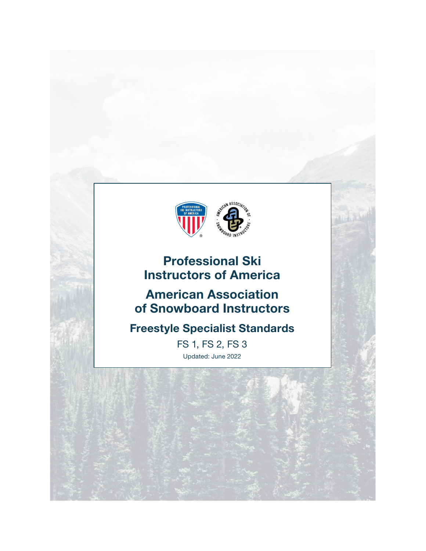

# Professional Ski Instructors of America

# American Association of Snowboard Instructors

# Freestyle Specialist Standards

FS 1, FS 2, FS 3 Updated: June 2022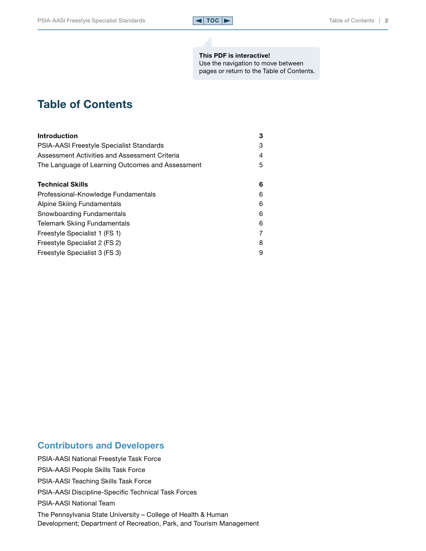

### This PDF is interactive!

Use the navigation to move between pages or return to the Table of Contents.

## <span id="page-1-0"></span>Table of Contents

| <b>Introduction</b>                              | 3 |
|--------------------------------------------------|---|
| <b>PSIA-AASI Freestyle Specialist Standards</b>  | З |
| Assessment Activities and Assessment Criteria    | 4 |
| The Language of Learning Outcomes and Assessment | 5 |
| <b>Technical Skills</b>                          | 6 |
| Professional-Knowledge Fundamentals              | 6 |
| Alpine Skiing Fundamentals                       | 6 |
| Snowboarding Fundamentals                        | 6 |
| <b>Telemark Skiing Fundamentals</b>              | 6 |
| Freestyle Specialist 1 (FS 1)                    |   |
| Freestyle Specialist 2 (FS 2)                    | 8 |
| Freestyle Specialist 3 (FS 3)                    | 9 |

## Contributors and Developers

PSIA-AASI National Freestyle Task Force

PSIA-AASI People Skills Task Force

PSIA-AASI Teaching Skills Task Force

PSIA-AASI Discipline-Specific Technical Task Forces

PSIA-AASI National Team

The Pennsylvania State University – College of Health & Human Development; Department of Recreation, Park, and Tourism Management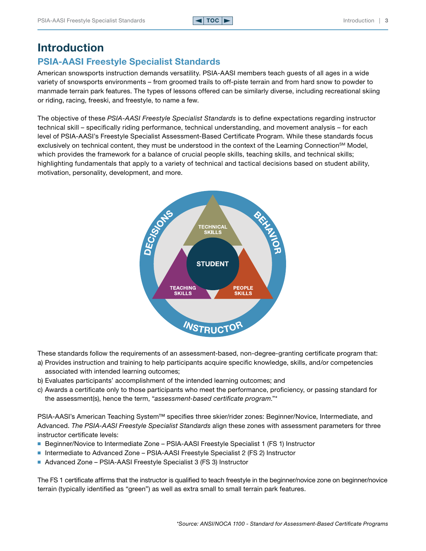## <span id="page-2-0"></span>Introduction

## PSIA-AASI Freestyle Specialist Standards

American snowsports instruction demands versatility. PSIA-AASI members teach guests of all ages in a wide variety of snowsports environments – from groomed trails to off-piste terrain and from hard snow to powder to manmade terrain park features. The types of lessons offered can be similarly diverse, including recreational skiing or riding, racing, freeski, and freestyle, to name a few.

The objective of these *PSIA-AASI Freestyle Specialist Standards* is to define expectations regarding instructor technical skill – specifically riding performance, technical understanding, and movement analysis – for each level of PSIA-AASI's Freestyle Specialist Assessment-Based Certificate Program. While these standards focus exclusively on technical content, they must be understood in the context of the Learning Connection<sup>sM</sup> Model, which provides the framework for a balance of crucial people skills, teaching skills, and technical skills; highlighting fundamentals that apply to a variety of technical and tactical decisions based on student ability, motivation, personality, development, and more.



These standards follow the requirements of an assessment-based, non-degree-granting certificate program that:

- a) Provides instruction and training to help participants acquire specific knowledge, skills, and/or competencies associated with intended learning outcomes;
- b) Evaluates participants' accomplishment of the intended learning outcomes; and
- c) Awards a certificate only to those participants who meet the performance, proficiency, or passing standard for the assessment(s), hence the term, "*assessment-based certificate program*."\*

PSIA-AASI's American Teaching System™ specifies three skier/rider zones: Beginner/Novice, Intermediate, and Advanced. *The PSIA-AASI Freestyle Specialist Standards* align these zones with assessment parameters for three instructor certificate levels:

- Beginner/Novice to Intermediate Zone PSIA-AASI Freestyle Specialist 1 (FS 1) Instructor
- Intermediate to Advanced Zone PSIA-AASI Freestyle Specialist 2 (FS 2) Instructor
- Advanced Zone PSIA-AASI Freestyle Specialist 3 (FS 3) Instructor

The FS 1 certificate affirms that the instructor is qualified to teach freestyle in the beginner/novice zone on beginner/novice terrain (typically identified as "green") as well as extra small to small terrain park features.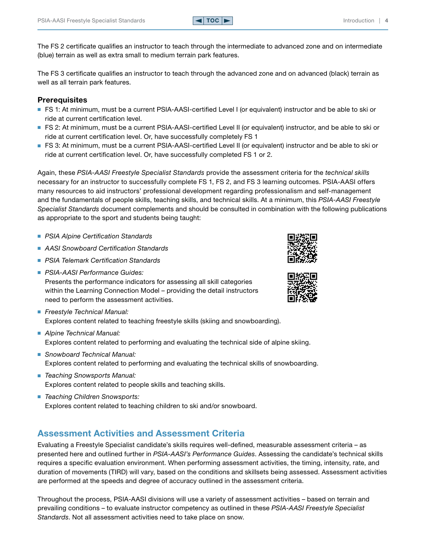<span id="page-3-0"></span>The FS 2 certificate qualifies an instructor to teach through the intermediate to advanced zone and on intermediate (blue) terrain as well as extra small to medium terrain park features.

The FS 3 certificate qualifies an instructor to teach through the advanced zone and on advanced (black) terrain as well as all terrain park features.

#### **Prerequisites**

- FS 1: At minimum, must be a current PSIA-AASI-certified Level I (or equivalent) instructor and be able to ski or ride at current certification level.
- FS 2: At minimum, must be a current PSIA-AASI-certified Level II (or equivalent) instructor, and be able to ski or ride at current certification level. Or, have successfully completely FS 1
- FS 3: At minimum, must be a current PSIA-AASI-certified Level II (or equivalent) instructor and be able to ski or ride at current certification level. Or, have successfully completed FS 1 or 2.

Again, these *PSIA-AASI Freestyle Specialist Standards* provide the assessment criteria for the *technical skills* necessary for an instructor to successfully complete FS 1, FS 2, and FS 3 learning outcomes. PSIA-AASI offers many resources to aid instructors' professional development regarding professionalism and self-management and the fundamentals of people skills, teaching skills, and technical skills. At a minimum, this *PSIA-AASI Freestyle Specialist Standards* document complements and should be consulted in combination with the following publications as appropriate to the sport and students being taught:

- *PSIA Alpine Certification Standards*
- *AASI Snowboard Certification Standards*
- *PSIA Telemark Certification Standards*
- *PSIA-AASI Performance Guides:* Presents the performance indicators for assessing all skill categories within the Learning Connection Model – providing the detail instructors need to perform the assessment activities.
- *Freestyle Technical Manual:* Explores content related to teaching freestyle skills (skiing and snowboarding).
- *Alpine Technical Manual:* Explores content related to performing and evaluating the technical side of alpine skiing.
- *Snowboard Technical Manual:* Explores content related to performing and evaluating the technical skills of snowboarding.
- *Teaching Snowsports Manual:* Explores content related to people skills and teaching skills.
- *Teaching Children Snowsports:* Explores content related to teaching children to ski and/or snowboard.

### Assessment Activities and Assessment Criteria

Evaluating a Freestyle Specialist candidate's skills requires well-defined, measurable assessment criteria – as presented here and outlined further in *PSIA-AASI's Performance Guides*. Assessing the candidate's technical skills requires a specific evaluation environment. When performing assessment activities, the timing, intensity, rate, and duration of movements (TIRD) will vary, based on the conditions and skillsets being assessed. Assessment activities are performed at the speeds and degree of accuracy outlined in the assessment criteria.

Throughout the process, PSIA-AASI divisions will use a variety of assessment activities – based on terrain and prevailing conditions – to evaluate instructor competency as outlined in these *PSIA-AASI Freestyle Specialist Standards*. Not all assessment activities need to take place on snow.



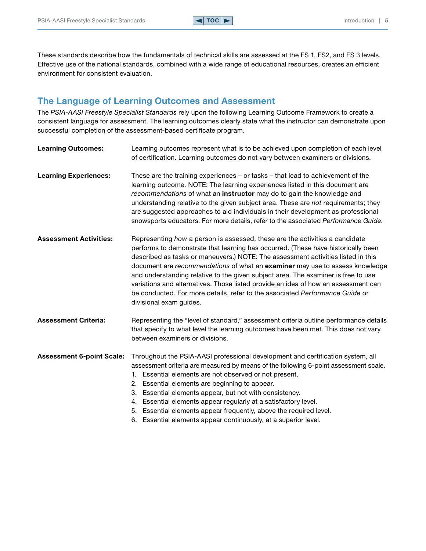<span id="page-4-0"></span>These standards describe how the fundamentals of technical skills are assessed at the FS 1, FS2, and FS 3 levels. Effective use of the national standards, combined with a wide range of educational resources, creates an efficient environment for consistent evaluation.

## The Language of Learning Outcomes and Assessment

The *PSIA-AASI Freestyle Specialist Standards* rely upon the following Learning Outcome Framework to create a consistent language for assessment. The learning outcomes clearly state what the instructor can demonstrate upon successful completion of the assessment-based certificate program.

| <b>Learning Outcomes:</b>        | Learning outcomes represent what is to be achieved upon completion of each level<br>of certification. Learning outcomes do not vary between examiners or divisions.                                                                                                                                                                                                                                                                                                                                                                                                                                                        |  |
|----------------------------------|----------------------------------------------------------------------------------------------------------------------------------------------------------------------------------------------------------------------------------------------------------------------------------------------------------------------------------------------------------------------------------------------------------------------------------------------------------------------------------------------------------------------------------------------------------------------------------------------------------------------------|--|
| <b>Learning Experiences:</b>     | These are the training experiences – or tasks – that lead to achievement of the<br>learning outcome. NOTE: The learning experiences listed in this document are<br>recommendations of what an instructor may do to gain the knowledge and<br>understanding relative to the given subject area. These are not requirements; they<br>are suggested approaches to aid individuals in their development as professional<br>snowsports educators. For more details, refer to the associated Performance Guide.                                                                                                                  |  |
| <b>Assessment Activities:</b>    | Representing how a person is assessed, these are the activities a candidate<br>performs to demonstrate that learning has occurred. (These have historically been<br>described as tasks or maneuvers.) NOTE: The assessment activities listed in this<br>document are recommendations of what an examiner may use to assess knowledge<br>and understanding relative to the given subject area. The examiner is free to use<br>variations and alternatives. Those listed provide an idea of how an assessment can<br>be conducted. For more details, refer to the associated Performance Guide or<br>divisional exam guides. |  |
| <b>Assessment Criteria:</b>      | Representing the "level of standard," assessment criteria outline performance details<br>that specify to what level the learning outcomes have been met. This does not vary<br>between examiners or divisions.                                                                                                                                                                                                                                                                                                                                                                                                             |  |
| <b>Assessment 6-point Scale:</b> | Throughout the PSIA-AASI professional development and certification system, all<br>assessment criteria are measured by means of the following 6-point assessment scale.<br>1. Essential elements are not observed or not present.<br>2. Essential elements are beginning to appear.<br>Essential elements appear, but not with consistency.<br>3.<br>Essential elements appear regularly at a satisfactory level.<br>4.<br>5. Essential elements appear frequently, above the required level.<br>6. Essential elements appear continuously, at a superior level.                                                           |  |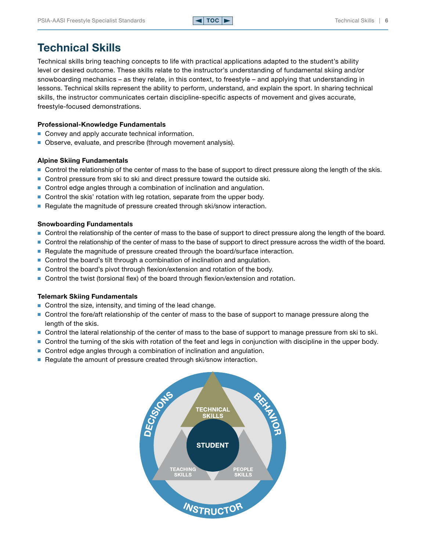## <span id="page-5-0"></span>Technical Skills

Technical skills bring teaching concepts to life with practical applications adapted to the student's ability level or desired outcome. These skills relate to the instructor's understanding of fundamental skiing and/or snowboarding mechanics – as they relate, in this context, to freestyle – and applying that understanding in lessons. Technical skills represent the ability to perform, understand, and explain the sport. In sharing technical skills, the instructor communicates certain discipline-specific aspects of movement and gives accurate, freestyle-focused demonstrations.

#### Professional-Knowledge Fundamentals

- Convey and apply accurate technical information.
- Observe, evaluate, and prescribe (through movement analysis).

#### Alpine Skiing Fundamentals

- Control the relationship of the center of mass to the base of support to direct pressure along the length of the skis.
- Control pressure from ski to ski and direct pressure toward the outside ski.
- Control edge angles through a combination of inclination and angulation.
- Control the skis' rotation with leg rotation, separate from the upper body.
- Regulate the magnitude of pressure created through ski/snow interaction.

#### Snowboarding Fundamentals

- Control the relationship of the center of mass to the base of support to direct pressure along the length of the board.
- Control the relationship of the center of mass to the base of support to direct pressure across the width of the board.
- Regulate the magnitude of pressure created through the board/surface interaction.
- Control the board's tilt through a combination of inclination and angulation.
- Control the board's pivot through flexion/extension and rotation of the body.
- Control the twist (torsional flex) of the board through flexion/extension and rotation.

#### Telemark Skiing Fundamentals

- Control the size, intensity, and timing of the lead change.
- Control the fore/aft relationship of the center of mass to the base of support to manage pressure along the length of the skis.
- Control the lateral relationship of the center of mass to the base of support to manage pressure from ski to ski.
- Control the turning of the skis with rotation of the feet and legs in conjunction with discipline in the upper body.
- Control edge angles through a combination of inclination and angulation.
- Regulate the amount of pressure created through ski/snow interaction.

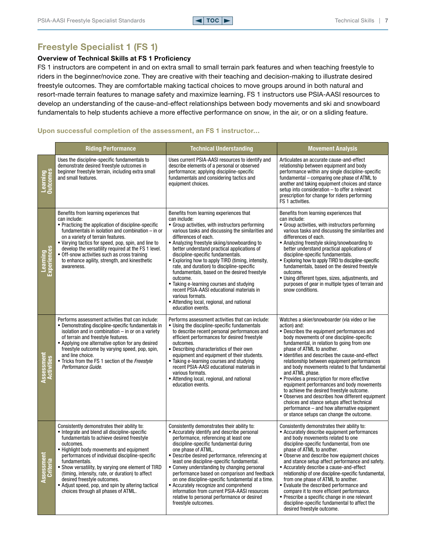## <span id="page-6-0"></span>Freestyle Specialist 1 (FS 1)

#### Overview of Technical Skills at FS 1 Proficiency

FS 1 instructors are competent in and on extra small to small terrain park features and when teaching freestyle to riders in the beginner/novice zone. They are creative with their teaching and decision-making to illustrate desired freestyle outcomes. They are comfortable making tactical choices to move groups around in both natural and resort-made terrain features to manage safety and maximize learning. FS 1 instructors use PSIA-AASI resources to develop an understanding of the cause-and-effect relationships between body movements and ski and snowboard fundamentals to help students achieve a more effective performance on snow, in the air, or on a sliding feature.

#### Upon successful completion of the assessment, an FS 1 instructor…

|                               | <b>Riding Performance</b>                                                                                                                                                                                                                                                                                                                                                                                                                                                                                   | <b>Technical Understanding</b>                                                                                                                                                                                                                                                                                                                                                                                                                                                                                                                                                                                                                                            | <b>Movement Analysis</b>                                                                                                                                                                                                                                                                                                                                                                                                                                                                                                                                                                                                                                                                                                                           |
|-------------------------------|-------------------------------------------------------------------------------------------------------------------------------------------------------------------------------------------------------------------------------------------------------------------------------------------------------------------------------------------------------------------------------------------------------------------------------------------------------------------------------------------------------------|---------------------------------------------------------------------------------------------------------------------------------------------------------------------------------------------------------------------------------------------------------------------------------------------------------------------------------------------------------------------------------------------------------------------------------------------------------------------------------------------------------------------------------------------------------------------------------------------------------------------------------------------------------------------------|----------------------------------------------------------------------------------------------------------------------------------------------------------------------------------------------------------------------------------------------------------------------------------------------------------------------------------------------------------------------------------------------------------------------------------------------------------------------------------------------------------------------------------------------------------------------------------------------------------------------------------------------------------------------------------------------------------------------------------------------------|
| Learning<br>Outcomes          | Uses the discipline-specific fundamentals to<br>demonstrate desired freestyle outcomes in<br>beginner freestyle terrain, including extra small<br>and small features.                                                                                                                                                                                                                                                                                                                                       | Uses current PSIA-AASI resources to identify and<br>describe elements of a personal or observed<br>performance; applying discipline-specific<br>fundamentals and considering tactics and<br>equipment choices.                                                                                                                                                                                                                                                                                                                                                                                                                                                            | Articulates an accurate cause-and-effect<br>relationship between equipment and body<br>performance within any single discipline-specific<br>fundamental - comparing one phase of ATML to<br>another and taking equipment choices and stance<br>setup into consideration - to offer a relevant<br>prescription for change for riders performing<br>FS 1 activities.                                                                                                                                                                                                                                                                                                                                                                                 |
| Learning<br>Experiences       | Benefits from learning experiences that<br>can include:<br>• Practicing the application of discipline-specific<br>fundamentals in isolation and combination $-$ in or<br>on a variety of terrain features.<br>• Varying tactics for speed, pop, spin, and line to<br>develop the versatility required at the FS 1 level.<br>• Off-snow activities such as cross training<br>to enhance agility, strength, and kinesthetic<br>awareness.                                                                     | Benefits from learning experiences that<br>can include:<br>• Group activities, with instructors performing<br>various tasks and discussing the similarities and<br>differences of each.<br>• Analyzing freestyle skiing/snowboarding to<br>better understand practical applications of<br>discipline-specific fundamentals.<br>• Exploring how to apply TIRD (timing, intensity,<br>rate, and duration) to discipline-specific<br>fundamentals, based on the desired freestyle<br>outcome.<br>• Taking e-learning courses and studying<br>recent PSIA-AASI educational materials in<br>various formats.<br>• Attending local, regional, and national<br>education events. | Benefits from learning experiences that<br>can include:<br>• Group activities, with instructors performing<br>various tasks and discussing the similarities and<br>differences of each.<br>• Analyzing freestyle skiing/snowboarding to<br>better understand practical applications of<br>discipline-specific fundamentals.<br>• Exploring how to apply TIRD to discipline-specific<br>fundamentals, based on the desired freestyle<br>outcome.<br>• Using different types, sizes, adjustments, and<br>purposes of gear in multiple types of terrain and<br>snow conditions.                                                                                                                                                                       |
| essment<br>Activities         | Performs assessment activities that can include:<br>• Demonstrating discipline-specific fundamentals in<br>isolation and in combination $-$ in or on a variety<br>of terrain and freestyle features.<br>• Applying one alternative option for any desired<br>freestyle outcome by varying speed, pop, spin,<br>and line choice.<br>• Tricks from the FS 1 section of the Freestyle<br>Performance Guide.                                                                                                    | Performs assessment activities that can include:<br>• Using the discipline-specific fundamentals<br>to describe recent personal performances and<br>efficient performances for desired freestyle<br>outcomes.<br>• Describing characteristics of their own<br>equipment and equipment of their students.<br>• Taking e-learning courses and studying<br>recent PSIA-AASI educational materials in<br>various formats.<br>• Attending local, regional, and national<br>education events.                                                                                                                                                                                   | Watches a skier/snowboarder (via video or live<br>action) and:<br>• Describes the equipment performances and<br>body movements of one discipline-specific<br>fundamental, in relation to going from one<br>phase of ATML to another.<br>· Identifies and describes the cause-and-effect<br>relationship between equipment performances<br>and body movements related to that fundamental<br>and ATML phase.<br>• Provides a prescription for more effective<br>equipment performances and body movements<br>to achieve the desired freestyle outcome.<br>• Observes and describes how different equipment<br>choices and stance setups affect technical<br>performance - and how alternative equipment<br>or stance setups can change the outcome. |
| <b>\ssessment</b><br>Criteria | Consistently demonstrates their ability to:<br>• Integrate and blend all discipline-specific<br>fundamentals to achieve desired freestyle<br>outcomes.<br>• Highlight body movements and equipment<br>performances of individual discipline-specific<br>fundamentals.<br>• Show versatility, by varying one element of TIRD<br>(timing, intensity, rate, or duration) to affect<br>desired freestyle outcomes.<br>• Adjust speed, pop, and spin by altering tactical<br>choices through all phases of ATML. | Consistently demonstrates their ability to:<br>• Accurately identify and describe personal<br>performance, referencing at least one<br>discipline-specific fundamental during<br>one phase of ATML.<br>• Describe desired performance, referencing at<br>least one discipline-specific fundamental.<br>• Convey understanding by changing personal<br>performance based on comparison and feedback<br>on one discipline-specific fundamental at a time.<br>• Accurately recognize and comprehend<br>information from current PSIA-AASI resources<br>relative to personal performance or desired<br>freestyle outcomes.                                                    | Consistently demonstrates their ability to:<br>• Accurately describe equipment performances<br>and body movements related to one<br>discipline-specific fundamental, from one<br>phase of ATML to another.<br>• Observe and describe how equipment choices<br>and stance setup affect performance and safety.<br>• Accurately describe a cause-and-effect<br>relationship of one discipline-specific fundamental,<br>from one phase of ATML to another.<br>• Evaluate the described performance and<br>compare it to more efficient performance.<br>• Prescribe a specific change in one relevant<br>discipline-specific fundamental to affect the<br>desired freestyle outcome.                                                                   |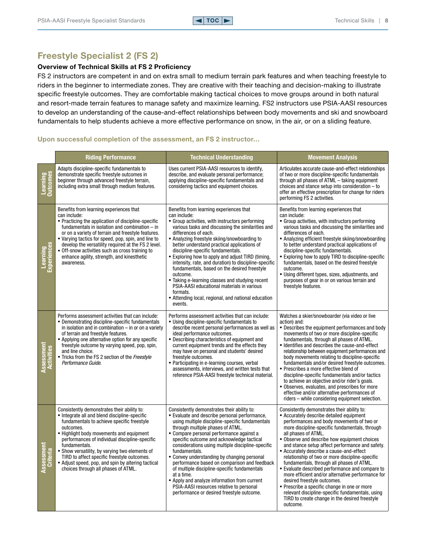## <span id="page-7-0"></span>Freestyle Specialist 2 (FS 2)

#### Overview of Technical Skills at FS 2 Proficiency

FS 2 instructors are competent in and on extra small to medium terrain park features and when teaching freestyle to riders in the beginner to intermediate zones. They are creative with their teaching and decision-making to illustrate specific freestyle outcomes. They are comfortable making tactical choices to move groups around in both natural and resort-made terrain features to manage safety and maximize learning. FS2 instructors use PSIA-AASI resources to develop an understanding of the cause-and-effect relationships between body movements and ski and snowboard fundamentals to help students achieve a more effective performance on snow, in the air, or on a sliding feature.

#### Upon successful completion of the assessment, an FS 2 instructor…

|                                      | <b>Riding Performance</b>                                                                                                                                                                                                                                                                                                                                                                                                                                            | <b>Technical Understanding</b>                                                                                                                                                                                                                                                                                                                                                                                                                                                                                                                                                                                                                                                       | <b>Movement Analysis</b>                                                                                                                                                                                                                                                                                                                                                                                                                                                                                                                                                                                                                                                                                                                                              |
|--------------------------------------|----------------------------------------------------------------------------------------------------------------------------------------------------------------------------------------------------------------------------------------------------------------------------------------------------------------------------------------------------------------------------------------------------------------------------------------------------------------------|--------------------------------------------------------------------------------------------------------------------------------------------------------------------------------------------------------------------------------------------------------------------------------------------------------------------------------------------------------------------------------------------------------------------------------------------------------------------------------------------------------------------------------------------------------------------------------------------------------------------------------------------------------------------------------------|-----------------------------------------------------------------------------------------------------------------------------------------------------------------------------------------------------------------------------------------------------------------------------------------------------------------------------------------------------------------------------------------------------------------------------------------------------------------------------------------------------------------------------------------------------------------------------------------------------------------------------------------------------------------------------------------------------------------------------------------------------------------------|
| Learning<br>Outcomes                 | Adapts discipline-specific fundamentals to<br>demonstrate specific freestyle outcomes in<br>beginner through advanced freestyle terrain,<br>including extra small through medium features.                                                                                                                                                                                                                                                                           | Uses current PSIA-AASI resources to identify,<br>describe, and evaluate personal performance;<br>applying discipline-specific fundamentals and<br>considering tactics and equipment choices.                                                                                                                                                                                                                                                                                                                                                                                                                                                                                         | Articulates accurate cause-and-effect relationships<br>of two or more discipline-specific fundamentals<br>through all phases of ATML - taking equipment<br>choices and stance setup into consideration $-$ to<br>offer an effective prescription for change for riders<br>performing FS 2 activities.                                                                                                                                                                                                                                                                                                                                                                                                                                                                 |
| <b>Experiences</b><br><b>earning</b> | Benefits from learning experiences that<br>can include:<br>• Practicing the application of discipline-specific<br>fundamentals in isolation and combination - in<br>or on a variety of terrain and freestyle features.<br>• Varying tactics for speed, pop, spin, and line to<br>develop the versatility required at the FS 2 level.<br>• Off-snow activities such as cross training to<br>enhance agility, strength, and kinesthetic<br>awareness.                  | Benefits from learning experiences that<br>can include:<br>• Group activities, with instructors performing<br>various tasks and discussing the similarities and<br>differences of each.<br>• Analyzing freestyle skiing/snowboarding to<br>better understand practical applications of<br>discipline-specific fundamentals.<br>• Exploring how to apply and adjust TIRD (timing,<br>intensity, rate, and duration) to discipline-specific<br>fundamentals, based on the desired freestyle<br>outcome.<br>• Taking e-learning classes and studying recent<br>PSIA-AASI educational materials in various<br>formats.<br>• Attending local, regional, and national education<br>events. | Benefits from learning experiences that<br>can include:<br>• Group activities, with instructors performing<br>various tasks and discussing the similarities and<br>differences of each.<br>• Analyzing efficient freestyle skiing/snowboarding<br>to better understand practical applications of<br>discipline-specific fundamentals.<br>• Exploring how to apply TIRD to discipline-specific<br>fundamentals, based on the desired freestyle<br>outcome.<br>• Using different types, sizes, adjustments, and<br>purposes of gear in or on various terrain and<br>freestyle features.                                                                                                                                                                                 |
| Assessment<br>Activities             | Performs assessment activities that can include:<br>• Demonstrating discipline-specific fundamentals<br>in isolation and in combination $-$ in or on a variety<br>of terrain and freestyle features.<br>• Applying one alternative option for any specific<br>freestyle outcome by varying speed, pop, spin,<br>and line choice.<br>• Tricks from the FS 2 section of the Freestyle<br>Performance Guide.                                                            | Performs assessment activities that can include:<br>• Using discipline-specific fundamentals to<br>describe recent personal performances as well as<br>ideal performance outcomes.<br>• Describing characteristics of equipment and<br>current equipment trends and the effects they<br>may have on personal and students' desired<br>freestyle outcomes.<br>• Participating in e-learning courses, verbal<br>assessments, interviews, and written tests that<br>reference PSIA-AASI freestyle technical material.                                                                                                                                                                   | Watches a skier/snowboarder (via video or live<br>action) and:<br>• Describes the equipment performances and body<br>movements of two or more discipline-specific<br>fundamentals, through all phases of ATML.<br>• Identifies and describes the cause-and-effect<br>relationship between equipment performances and<br>body movements relating to discipline-specific<br>fundamentals and/or desired freestyle outcomes.<br>• Prescribes a more effective blend of<br>discipline-specific fundamentals and/or tactics<br>to achieve an objective and/or rider's goals.<br>• Observes, evaluates, and prescribes for more<br>effective and/or alternative performances of<br>riders - while considering equipment selection.                                          |
| Assessment<br><b>Criteria</b>        | Consistently demonstrates their ability to:<br>• Integrate all and blend discipline-specific<br>fundamentals to achieve specific freestyle<br>outcomes.<br>• Highlight body movements and equipment<br>performances of individual discipline-specific<br>fundamentals.<br>• Show versatility, by varying two elements of<br>TIRD to affect specific freestyle outcomes.<br>• Adjust speed, pop, and spin by altering tactical<br>choices through all phases of ATML. | Consistently demonstrates their ability to:<br>• Evaluate and describe personal performance.<br>using multiple discipline-specific fundamentals<br>through multiple phases of ATML.<br>• Compare personal performance against a<br>specific outcome and acknowledge tactical<br>considerations using multiple discipline-specific<br>fundamentals.<br>• Convey understanding by changing personal<br>performance based on comparison and feedback<br>of multiple discipline-specific fundamentals<br>at a time.<br>• Apply and analyze information from current<br>PSIA-AASI resources relative to personal<br>performance or desired freestyle outcome.                             | Consistently demonstrates their ability to:<br>• Accurately describe detailed equipment<br>performances and body movements of two or<br>more discipline-specific fundamentals, through<br>all phases of ATML.<br>• Observe and describe how equipment choices<br>and stance setup affect performance and safety.<br>• Accurately describe a cause-and-effect<br>relationship of two or more discipline-specific<br>fundamentals, through all phases of ATML.<br>• Evaluate described performance and compare to<br>more efficient and/or alternative performance for<br>desired freestyle outcomes.<br>• Prescribe a specific change in one or more<br>relevant discipline-specific fundamentals, using<br>TIRD to create change in the desired freestyle<br>outcome. |